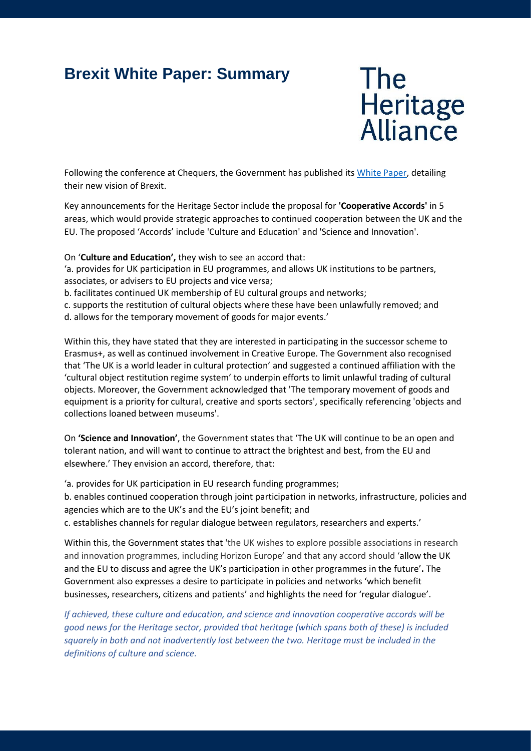# **Brexit White Paper: Summary**

**The** Heritage<br>Alliance

Following the conference at Chequers, the Government has published its [White Paper,](https://www.gov.uk/government/publications/the-future-relationship-between-the-united-kingdom-and-the-european-union) detailing their new vision of Brexit.

Key announcements for the Heritage Sector include the proposal for **'Cooperative Accords'** in 5 areas, which would provide strategic approaches to continued cooperation between the UK and the EU. The proposed 'Accords' include 'Culture and Education' and 'Science and Innovation'.

On '**Culture and Education',** they wish to see an accord that:

'a. provides for UK participation in EU programmes, and allows UK institutions to be partners, associates, or advisers to EU projects and vice versa;

b. facilitates continued UK membership of EU cultural groups and networks;

c. supports the restitution of cultural objects where these have been unlawfully removed; and d. allows for the temporary movement of goods for major events.'

Within this, they have stated that they are interested in participating in the successor scheme to Erasmus+, as well as continued involvement in Creative Europe. The Government also recognised that 'The UK is a world leader in cultural protection' and suggested a continued affiliation with the 'cultural object restitution regime system' to underpin efforts to limit unlawful trading of cultural objects. Moreover, the Government acknowledged that 'The temporary movement of goods and equipment is a priority for cultural, creative and sports sectors', specifically referencing 'objects and collections loaned between museums'.

On **'Science and Innovation'**, the Government states that 'The UK will continue to be an open and tolerant nation, and will want to continue to attract the brightest and best, from the EU and elsewhere.' They envision an accord, therefore, that:

'a. provides for UK participation in EU research funding programmes;

b. enables continued cooperation through joint participation in networks, infrastructure, policies and agencies which are to the UK's and the EU's joint benefit; and

c. establishes channels for regular dialogue between regulators, researchers and experts.'

Within this, the Government states that 'the UK wishes to explore possible associations in research and innovation programmes, including Horizon Europe' and that any accord should 'allow the UK and the EU to discuss and agree the UK's participation in other programmes in the future'**.** The Government also expresses a desire to participate in policies and networks 'which benefit businesses, researchers, citizens and patients' and highlights the need for 'regular dialogue'.

*If achieved, these culture and education, and science and innovation cooperative accords will be good news for the Heritage sector, provided that heritage (which spans both of these) is included squarely in both and not inadvertently lost between the two. Heritage must be included in the definitions of culture and science.*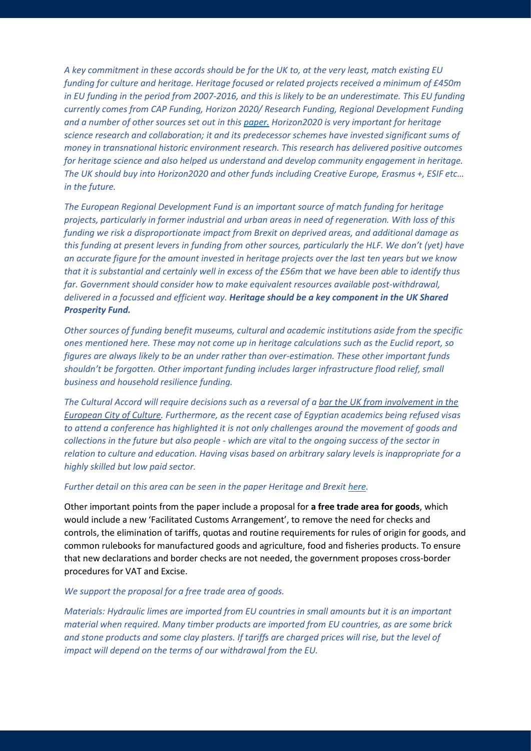*A key commitment in these accords should be for the UK to, at the very least, match existing EU funding for culture and heritage. Heritage focused or related projects received a minimum of £450m*  in EU funding in the period from 2007-2016, and this is likely to be an underestimate. This EU funding *currently comes from CAP Funding, Horizon 2020/ Research Funding, Regional Development Funding and a number of other sources set out in this [paper.](http://www.theheritagealliance.org.uk/tha-website/wp-content/uploads/2017/07/Brexit-and-Heritage-Briefing-FINAL-with-Royal-Society-Report.pdf) Horizon2020 is very important for heritage science research and collaboration; it and its predecessor schemes have invested significant sums of money in transnational historic environment research. This research has delivered positive outcomes for heritage science and also helped us understand and develop community engagement in heritage. The UK should buy into Horizon2020 and other funds including Creative Europe, Erasmus +, ESIF etc… in the future.*

*The European Regional Development Fund is an important source of match funding for heritage projects, particularly in former industrial and urban areas in need of regeneration. With loss of this funding we risk a disproportionate impact from Brexit on deprived areas, and additional damage as this funding at present levers in funding from other sources, particularly the HLF. We don't (yet) have an accurate figure for the amount invested in heritage projects over the last ten years but we know that it is substantial and certainly well in excess of the £56m that we have been able to identify thus far. Government should consider how to make equivalent resources available post-withdrawal, delivered in a focussed and efficient way. Heritage should be a key component in the UK Shared Prosperity Fund.*

*Other sources of funding benefit museums, cultural and academic institutions aside from the specific ones mentioned here. These may not come up in heritage calculations such as the Euclid report, so figures are always likely to be an under rather than over-estimation. These other important funds shouldn't be forgotten. Other important funding includes larger infrastructure flood relief, small business and household resilience funding.*

*The Cultural Accord will require decisions such as a reversal of a [bar the UK from involvement in the](https://www.bbc.co.uk/news/entertainment-arts-42097692)  [European City of Culture.](https://www.bbc.co.uk/news/entertainment-arts-42097692) Furthermore, as the recent case of Egyptian academics being refused visas to attend a conference has highlighted it is not only challenges around the movement of goods and collections in the future but also people - which are vital to the ongoing success of the sector in relation to culture and education. Having visas based on arbitrary salary levels is inappropriate for a highly skilled but low paid sector.*

#### *Further detail on this area can be seen in the paper Heritage and Brexit [here.](http://www.theheritagealliance.org.uk/tha-website/wpcontent/uploads/2017/07/Brexit-and-Heritage-Briefing-FINAL-with-Royal-Society-Report.pdf)*

Other important points from the paper include a proposal for **a free trade area for goods**, which would include a new 'Facilitated Customs Arrangement', to remove the need for checks and controls, the elimination of tariffs, quotas and routine requirements for rules of origin for goods, and common rulebooks for manufactured goods and agriculture, food and fisheries products. To ensure that new declarations and border checks are not needed, the government proposes cross-border procedures for VAT and Excise.

### *We support the proposal for a free trade area of goods.*

*Materials: Hydraulic limes are imported from EU countries in small amounts but it is an important material when required. Many timber products are imported from EU countries, as are some brick and stone products and some clay plasters. If tariffs are charged prices will rise, but the level of impact will depend on the terms of our withdrawal from the EU.*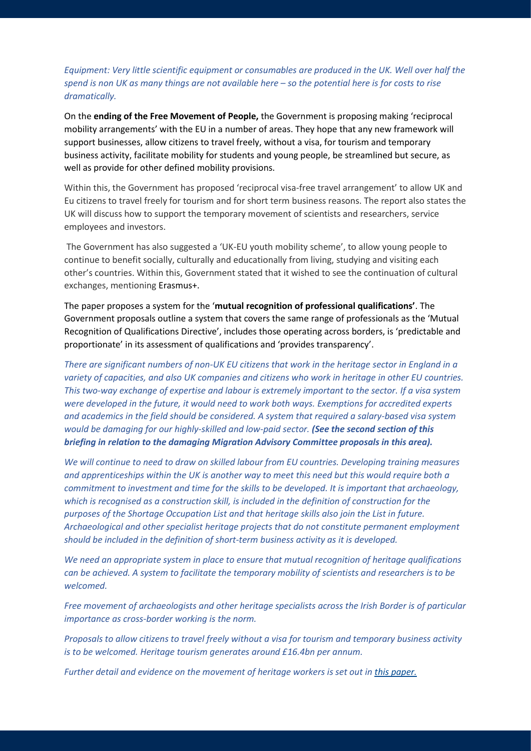## *Equipment: Very little scientific equipment or consumables are produced in the UK. Well over half the spend is non UK as many things are not available here – so the potential here is for costs to rise dramatically.*

On the **ending of the Free Movement of People,** the Government is proposing making 'reciprocal mobility arrangements' with the EU in a number of areas. They hope that any new framework will support businesses, allow citizens to travel freely, without a visa, for tourism and temporary business activity, facilitate mobility for students and young people, be streamlined but secure, as well as provide for other defined mobility provisions.

Within this, the Government has proposed 'reciprocal visa-free travel arrangement' to allow UK and Eu citizens to travel freely for tourism and for short term business reasons. The report also states the UK will discuss how to support the temporary movement of scientists and researchers, service employees and investors.

The Government has also suggested a 'UK-EU youth mobility scheme', to allow young people to continue to benefit socially, culturally and educationally from living, studying and visiting each other's countries. Within this, Government stated that it wished to see the continuation of cultural exchanges, mentioning Erasmus+.

The paper proposes a system for the '**mutual recognition of professional qualifications'**. The Government proposals outline a system that covers the same range of professionals as the 'Mutual Recognition of Qualifications Directive', includes those operating across borders, is 'predictable and proportionate' in its assessment of qualifications and 'provides transparency'.

*There are significant numbers of non-UK EU citizens that work in the heritage sector in England in a variety of capacities, and also UK companies and citizens who work in heritage in other EU countries. This two-way exchange of expertise and labour is extremely important to the sector. If a visa system were developed in the future, it would need to work both ways. Exemptions for accredited experts and academics in the field should be considered. A system that required a salary-based visa system would be damaging for our highly-skilled and low-paid sector. (See the second section of this briefing in relation to the damaging Migration Advisory Committee proposals in this area).*

*We will continue to need to draw on skilled labour from EU countries. Developing training measures and apprenticeships within the UK is another way to meet this need but this would require both a commitment to investment and time for the skills to be developed. It is important that archaeology, which is recognised as a construction skill, is included in the definition of construction for the purposes of the Shortage Occupation List and that heritage skills also join the List in future. Archaeological and other specialist heritage projects that do not constitute permanent employment should be included in the definition of short-term business activity as it is developed.*

*We need an appropriate system in place to ensure that mutual recognition of heritage qualifications can be achieved. A system to facilitate the temporary mobility of scientists and researchers is to be welcomed.*

*Free movement of archaeologists and other heritage specialists across the Irish Border is of particular importance as cross-border working is the norm.* 

*Proposals to allow citizens to travel freely without a visa for tourism and temporary business activity is to be welcomed. Heritage tourism generates around £16.4bn per annum.*

Further detail and evidence on the movement of heritage workers is set out in [this paper.](http://www.theheritagealliance.org.uk/tha-website/wp-content/uploads/2018/03/THA-Immigration-Briefing.pdf)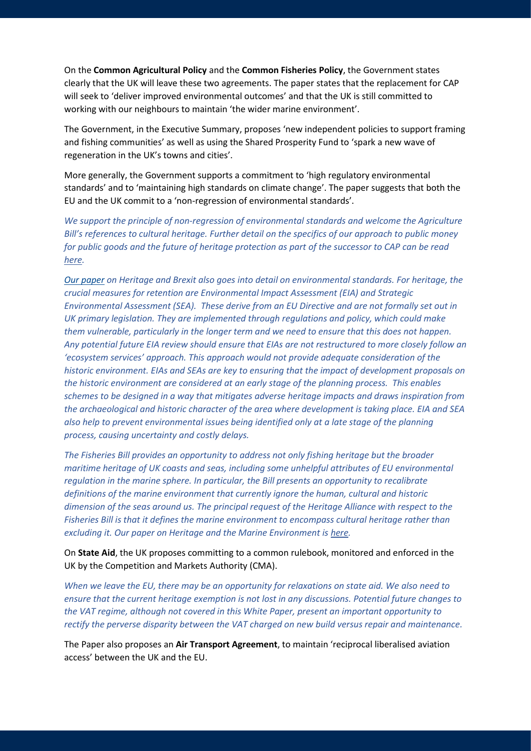On the **Common Agricultural Policy** and the **Common Fisheries Policy**, the Government states clearly that the UK will leave these two agreements. The paper states that the replacement for CAP will seek to 'deliver improved environmental outcomes' and that the UK is still committed to working with our neighbours to maintain 'the wider marine environment'.

The Government, in the Executive Summary, proposes 'new independent policies to support framing and fishing communities' as well as using the Shared Prosperity Fund to 'spark a new wave of regeneration in the UK's towns and cities'.

More generally, the Government supports a commitment to 'high regulatory environmental standards' and to 'maintaining high standards on climate change'. The paper suggests that both the EU and the UK commit to a 'non-regression of environmental standards'.

*We support the principle of non-regression of environmental standards and welcome the Agriculture Bill's references to cultural heritage. Further detail on the specifics of our approach to public money for public goods and the future of heritage protection as part of the successor to CAP can be read [here.](http://www.theheritagealliance.org.uk/tha-website/wp-content/uploads/2018/08/180306-Heritage-Alliance-25-Year-Env-Plan-clean-copy_RL.pdf)*

*[Our paper](http://www.theheritagealliance.org.uk/tha-website/wp-content/uploads/2017/07/Brexit-and-Heritage-Briefing-FINAL-with-Royal-Society-Report.pdf) on Heritage and Brexit also goes into detail on environmental standards. For heritage, the crucial measures for retention are Environmental Impact Assessment (EIA) and Strategic Environmental Assessment (SEA). These derive from an EU Directive and are not formally set out in UK primary legislation. They are implemented through regulations and policy, which could make them vulnerable, particularly in the longer term and we need to ensure that this does not happen. Any potential future EIA review should ensure that EIAs are not restructured to more closely follow an 'ecosystem services' approach. This approach would not provide adequate consideration of the historic environment. EIAs and SEAs are key to ensuring that the impact of development proposals on the historic environment are considered at an early stage of the planning process. This enables schemes to be designed in a way that mitigates adverse heritage impacts and draws inspiration from the archaeological and historic character of the area where development is taking place. EIA and SEA also help to prevent environmental issues being identified only at a late stage of the planning process, causing uncertainty and costly delays.*

*The Fisheries Bill provides an opportunity to address not only fishing heritage but the broader maritime heritage of UK coasts and seas, including some unhelpful attributes of EU environmental regulation in the marine sphere. In particular, the Bill presents an opportunity to recalibrate definitions of the marine environment that currently ignore the human, cultural and historic dimension of the seas around us. The principal request of the Heritage Alliance with respect to the Fisheries Bill is that it defines the marine environment to encompass cultural heritage rather than excluding it. Our paper on Heritage and the Marine Environment i[s here.](http://www.theheritagealliance.org.uk/tha-website/wp-content/uploads/2018/09/Heritage-in-the-Marine-Environment-paper.pdf)*

On **State Aid**, the UK proposes committing to a common rulebook, monitored and enforced in the UK by the Competition and Markets Authority (CMA).

*When we leave the EU, there may be an opportunity for relaxations on state aid. We also need to ensure that the current heritage exemption is not lost in any discussions. Potential future changes to the VAT regime, although not covered in this White Paper, present an important opportunity to rectify the perverse disparity between the VAT charged on new build versus repair and maintenance.*

The Paper also proposes an **Air Transport Agreement**, to maintain 'reciprocal liberalised aviation access' between the UK and the EU.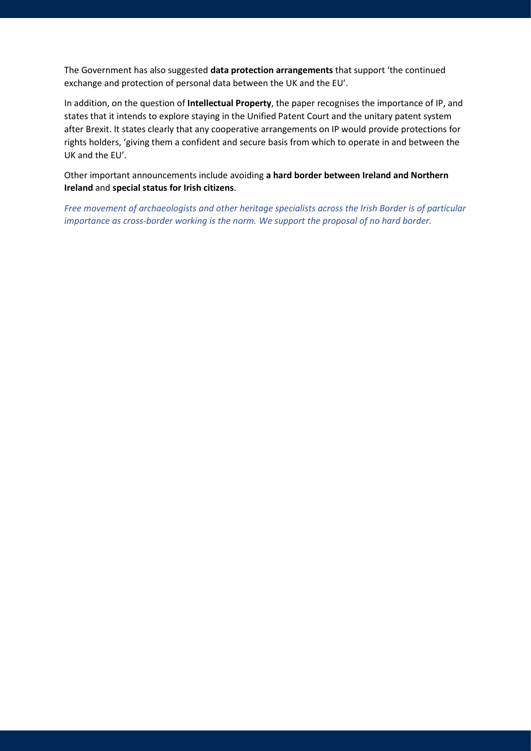The Government has also suggested **data protection arrangements** that support 'the continued exchange and protection of personal data between the UK and the EU'.

In addition, on the question of **Intellectual Property**, the paper recognises the importance of IP, and states that it intends to explore staying in the Unified Patent Court and the unitary patent system after Brexit. It states clearly that any cooperative arrangements on IP would provide protections for rights holders, 'giving them a confident and secure basis from which to operate in and between the UK and the EU'.

Other important announcements include avoiding **a hard border between Ireland and Northern Ireland** and **special status for Irish citizens**.

*Free movement of archaeologists and other heritage specialists across the Irish Border is of particular importance as cross-border working is the norm. We support the proposal of no hard border.*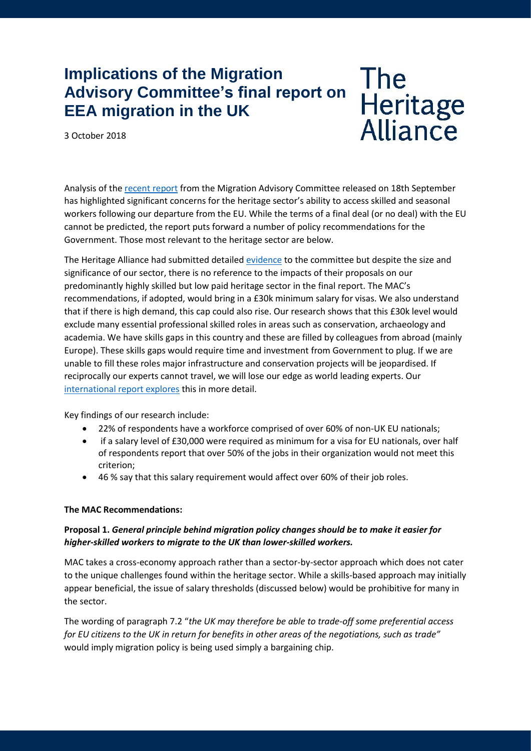# **Implications of the Migration Advisory Committee's final report on EEA migration in the UK**

3 October 2018

**The** Heritage<br>Alliance

Analysis of th[e recent report](https://assets.publishing.service.gov.uk/government/uploads/system/uploads/attachment_data/file/741926/Final_EEA_report.PDF) from the Migration Advisory Committee released on 18th September has highlighted significant concerns for the heritage sector's ability to access skilled and seasonal workers following our departure from the EU. While the terms of a final deal (or no deal) with the EU cannot be predicted, the report puts forward a number of policy recommendations for the Government. Those most relevant to the heritage sector are below.

The Heritage Alliance had submitted detailed [evidence](http://www.theheritagealliance.org.uk/tha-website/wp-content/uploads/2018/03/THA-Immigration-Briefing.pdf) to the committee but despite the size and significance of our sector, there is no reference to the impacts of their proposals on our predominantly highly skilled but low paid heritage sector in the final report. The MAC's recommendations, if adopted, would bring in a £30k minimum salary for visas. We also understand that if there is high demand, this cap could also rise. Our research shows that this £30k level would exclude many essential professional skilled roles in areas such as conservation, archaeology and academia. We have skills gaps in this country and these are filled by colleagues from abroad (mainly Europe). These skills gaps would require time and investment from Government to plug. If we are unable to fill these roles major infrastructure and conservation projects will be jeopardised. If reciprocally our experts cannot travel, we will lose our edge as world leading experts. Our [international report explores](http://www.theheritagealliance.org.uk/heritage-alliance-international-report-2018/) this in more detail.

Key findings of our research include:

- 22% of respondents have a workforce comprised of over 60% of non-UK EU nationals;
- if a salary level of £30,000 were required as minimum for a visa for EU nationals, over half of respondents report that over 50% of the jobs in their organization would not meet this criterion;
- 46 % say that this salary requirement would affect over 60% of their job roles.

## **The MAC Recommendations:**

## **Proposal 1.** *General principle behind migration policy changes should be to make it easier for higher-skilled workers to migrate to the UK than lower-skilled workers.*

MAC takes a cross-economy approach rather than a sector-by-sector approach which does not cater to the unique challenges found within the heritage sector. While a skills-based approach may initially appear beneficial, the issue of salary thresholds (discussed below) would be prohibitive for many in the sector.

The wording of paragraph 7.2 "*the UK may therefore be able to trade-off some preferential access for EU citizens to the UK in return for benefits in other areas of the negotiations, such as trade"* would imply migration policy is being used simply a bargaining chip.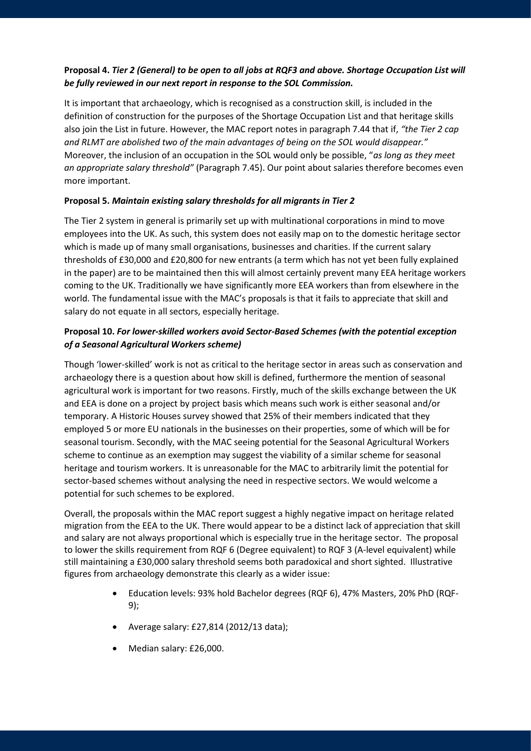# **Proposal 4.** *Tier 2 (General) to be open to all jobs at RQF3 and above. Shortage Occupation List will be fully reviewed in our next report in response to the SOL Commission.*

It is important that archaeology, which is recognised as a construction skill, is included in the definition of construction for the purposes of the Shortage Occupation List and that heritage skills also join the List in future. However, the MAC report notes in paragraph 7.44 that if, *"the Tier 2 cap and RLMT are abolished two of the main advantages of being on the SOL would disappear."*  Moreover, the inclusion of an occupation in the SOL would only be possible, "*as long as they meet an appropriate salary threshold"* (Paragraph 7.45). Our point about salaries therefore becomes even more important.

## **Proposal 5.** *Maintain existing salary thresholds for all migrants in Tier 2*

The Tier 2 system in general is primarily set up with multinational corporations in mind to move employees into the UK. As such, this system does not easily map on to the domestic heritage sector which is made up of many small organisations, businesses and charities. If the current salary thresholds of £30,000 and £20,800 for new entrants (a term which has not yet been fully explained in the paper) are to be maintained then this will almost certainly prevent many EEA heritage workers coming to the UK. Traditionally we have significantly more EEA workers than from elsewhere in the world. The fundamental issue with the MAC's proposals is that it fails to appreciate that skill and salary do not equate in all sectors, especially heritage.

# **Proposal 10.** *For lower-skilled workers avoid Sector-Based Schemes (with the potential exception of a Seasonal Agricultural Workers scheme)*

Though 'lower-skilled' work is not as critical to the heritage sector in areas such as conservation and archaeology there is a question about how skill is defined, furthermore the mention of seasonal agricultural work is important for two reasons. Firstly, much of the skills exchange between the UK and EEA is done on a project by project basis which means such work is either seasonal and/or temporary. A Historic Houses survey showed that 25% of their members indicated that they employed 5 or more EU nationals in the businesses on their properties, some of which will be for seasonal tourism. Secondly, with the MAC seeing potential for the Seasonal Agricultural Workers scheme to continue as an exemption may suggest the viability of a similar scheme for seasonal heritage and tourism workers. It is unreasonable for the MAC to arbitrarily limit the potential for sector-based schemes without analysing the need in respective sectors. We would welcome a potential for such schemes to be explored.

Overall, the proposals within the MAC report suggest a highly negative impact on heritage related migration from the EEA to the UK. There would appear to be a distinct lack of appreciation that skill and salary are not always proportional which is especially true in the heritage sector. The proposal to lower the skills requirement from RQF 6 (Degree equivalent) to RQF 3 (A-level equivalent) while still maintaining a £30,000 salary threshold seems both paradoxical and short sighted. Illustrative figures from archaeology demonstrate this clearly as a wider issue:

- Education levels: 93% hold Bachelor degrees (RQF 6), 47% Masters, 20% PhD (RQF-9);
- Average salary: £27,814 (2012/13 data);
- Median salary: £26,000.